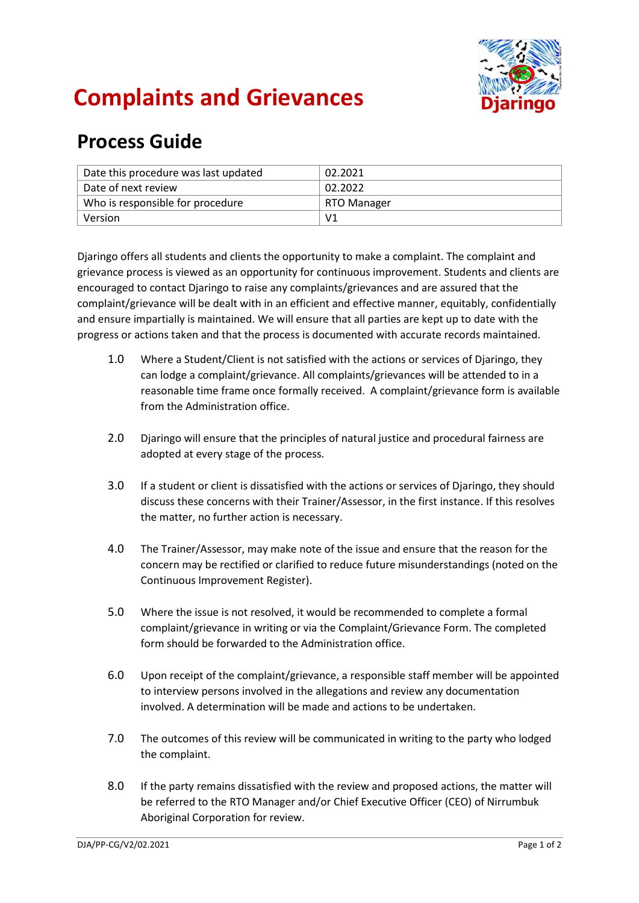

## **Complaints and Grievances**

## **Process Guide**

| Date this procedure was last updated | 02.2021        |
|--------------------------------------|----------------|
| Date of next review                  | 02.2022        |
| Who is responsible for procedure     | RTO Manager    |
| Version                              | V <sub>1</sub> |

Djaringo offers all students and clients the opportunity to make a complaint. The complaint and grievance process is viewed as an opportunity for continuous improvement. Students and clients are encouraged to contact Djaringo to raise any complaints/grievances and are assured that the complaint/grievance will be dealt with in an efficient and effective manner, equitably, confidentially and ensure impartially is maintained. We will ensure that all parties are kept up to date with the progress or actions taken and that the process is documented with accurate records maintained.

- 1.0 Where a Student/Client is not satisfied with the actions or services of Djaringo, they can lodge a complaint/grievance. All complaints/grievances will be attended to in a reasonable time frame once formally received. A complaint/grievance form is available from the Administration office.
- 2.0 Djaringo will ensure that the principles of natural justice and procedural fairness are adopted at every stage of the process.
- 3.0 If a student or client is dissatisfied with the actions or services of Djaringo, they should discuss these concerns with their Trainer/Assessor, in the first instance. If this resolves the matter, no further action is necessary.
- 4.0 The Trainer/Assessor, may make note of the issue and ensure that the reason for the concern may be rectified or clarified to reduce future misunderstandings (noted on the Continuous Improvement Register).
- 5.0 Where the issue is not resolved, it would be recommended to complete a formal complaint/grievance in writing or via the Complaint/Grievance Form. The completed form should be forwarded to the Administration office.
- 6.0 Upon receipt of the complaint/grievance, a responsible staff member will be appointed to interview persons involved in the allegations and review any documentation involved. A determination will be made and actions to be undertaken.
- 7.0 The outcomes of this review will be communicated in writing to the party who lodged the complaint.
- 8.0 If the party remains dissatisfied with the review and proposed actions, the matter will be referred to the RTO Manager and/or Chief Executive Officer (CEO) of Nirrumbuk Aboriginal Corporation for review.